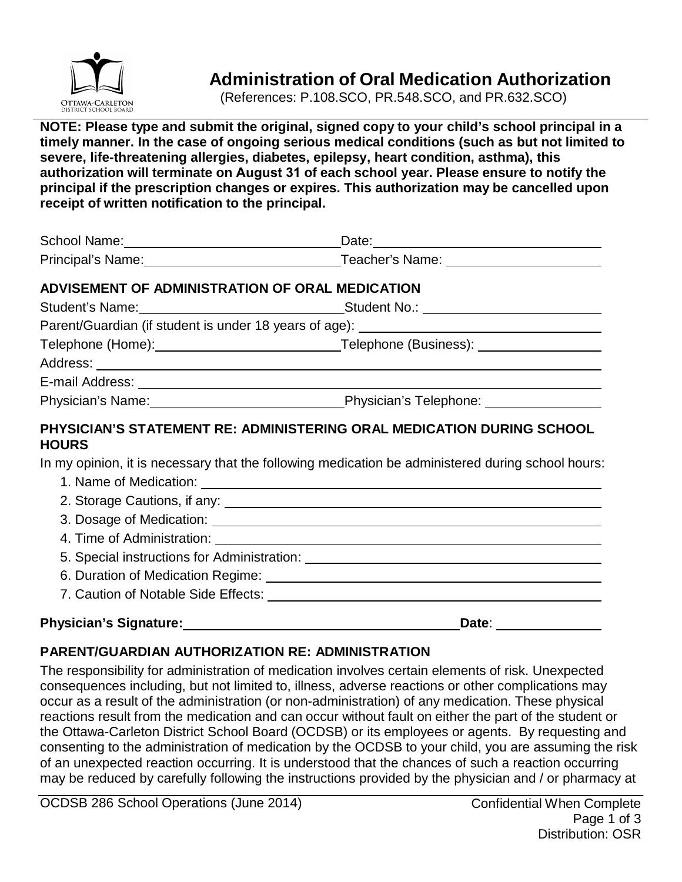

# **Administration of Oral Medication Authorization**

(References: P.108.SCO, PR.548.SCO, and PR.632.SCO)

**NOTE: Please type and submit the original, signed copy to your child's school principal in a timely manner. In the case of ongoing serious medical conditions (such as but not limited to severe, life-threatening allergies, diabetes, epilepsy, heart condition, asthma), this authorization will terminate on August 31 of each school year. Please ensure to notify the principal if the prescription changes or expires. This authorization may be cancelled upon receipt of written notification to the principal.**

| School Name: Manual Manual Manual Manual Manual Manual Manual Manual Manual Manual Manual Manual Manual Manual |  |
|----------------------------------------------------------------------------------------------------------------|--|
| Principal's Name: <u>New York: Teacher's Name:</u> Teacher's Name:                                             |  |
| ADVISEMENT OF ADMINISTRATION OF ORAL MEDICATION                                                                |  |
|                                                                                                                |  |
| Parent/Guardian (if student is under 18 years of age): _________________________                               |  |
|                                                                                                                |  |
|                                                                                                                |  |
|                                                                                                                |  |
|                                                                                                                |  |
| PHYSICIAN'S STATEMENT RE: ADMINISTERING ORAL MEDICATION DURING SCHOOL<br><b>HOURS</b>                          |  |
| In my opinion, it is necessary that the following medication be administered during school hours:              |  |
|                                                                                                                |  |
|                                                                                                                |  |
|                                                                                                                |  |
|                                                                                                                |  |
|                                                                                                                |  |
|                                                                                                                |  |
|                                                                                                                |  |

#### Physician's Signature: **Date:** Date: Date:

### **PARENT/GUARDIAN AUTHORIZATION RE: ADMINISTRATION**

The responsibility for administration of medication involves certain elements of risk. Unexpected consequences including, but not limited to, illness, adverse reactions or other complications may occur as a result of the administration (or non-administration) of any medication. These physical reactions result from the medication and can occur without fault on either the part of the student or the Ottawa-Carleton District School Board (OCDSB) or its employees or agents. By requesting and consenting to the administration of medication by the OCDSB to your child, you are assuming the risk of an unexpected reaction occurring. It is understood that the chances of such a reaction occurring may be reduced by carefully following the instructions provided by the physician and / or pharmacy at

OCDSB 286 School Operations (June 2014) Confidential When Complete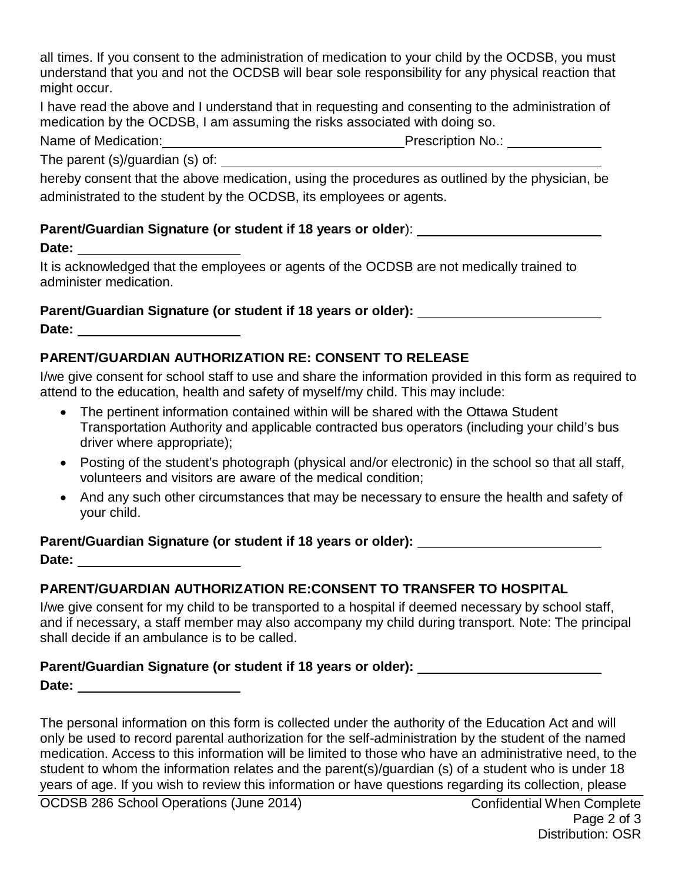all times. If you consent to the administration of medication to your child by the OCDSB, you must understand that you and not the OCDSB will bear sole responsibility for any physical reaction that might occur.

I have read the above and I understand that in requesting and consenting to the administration of medication by the OCDSB, I am assuming the risks associated with doing so.

**Name of Prescription No.:** 

The parent (s)/guardian (s) of:

hereby consent that the above medication, using the procedures as outlined by the physician, be administrated to the student by the OCDSB, its employees or agents.

### **Parent/Guardian Signature (or student if 18 years or older**):

**Date:** 

It is acknowledged that the employees or agents of the OCDSB are not medically trained to administer medication.

**Parent/Guardian Signature (or student if 18 years or older):** 

**Date:** 

## **PARENT/GUARDIAN AUTHORIZATION RE: CONSENT TO RELEASE**

I/we give consent for school staff to use and share the information provided in this form as required to attend to the education, health and safety of myself/my child. This may include:

- The pertinent information contained within will be shared with the Ottawa Student Transportation Authority and applicable contracted bus operators (including your child's bus driver where appropriate);
- Posting of the student's photograph (physical and/or electronic) in the school so that all staff, volunteers and visitors are aware of the medical condition;
- And any such other circumstances that may be necessary to ensure the health and safety of your child.

**Parent/Guardian Signature (or student if 18 years or older):**

**Date:** 

## **PARENT/GUARDIAN AUTHORIZATION RE:CONSENT TO TRANSFER TO HOSPITAL**

I/we give consent for my child to be transported to a hospital if deemed necessary by school staff, and if necessary, a staff member may also accompany my child during transport. Note: The principal shall decide if an ambulance is to be called.

## **Parent/Guardian Signature (or student if 18 years or older):**

**Date:** 

The personal information on this form is collected under the authority of the Education Act and will only be used to record parental authorization for the self-administration by the student of the named medication. Access to this information will be limited to those who have an administrative need, to the student to whom the information relates and the parent(s)/guardian (s) of a student who is under 18 years of age. If you wish to review this information or have questions regarding its collection, please

OCDSB 286 School Operations (June 2014) Confidential When Complete